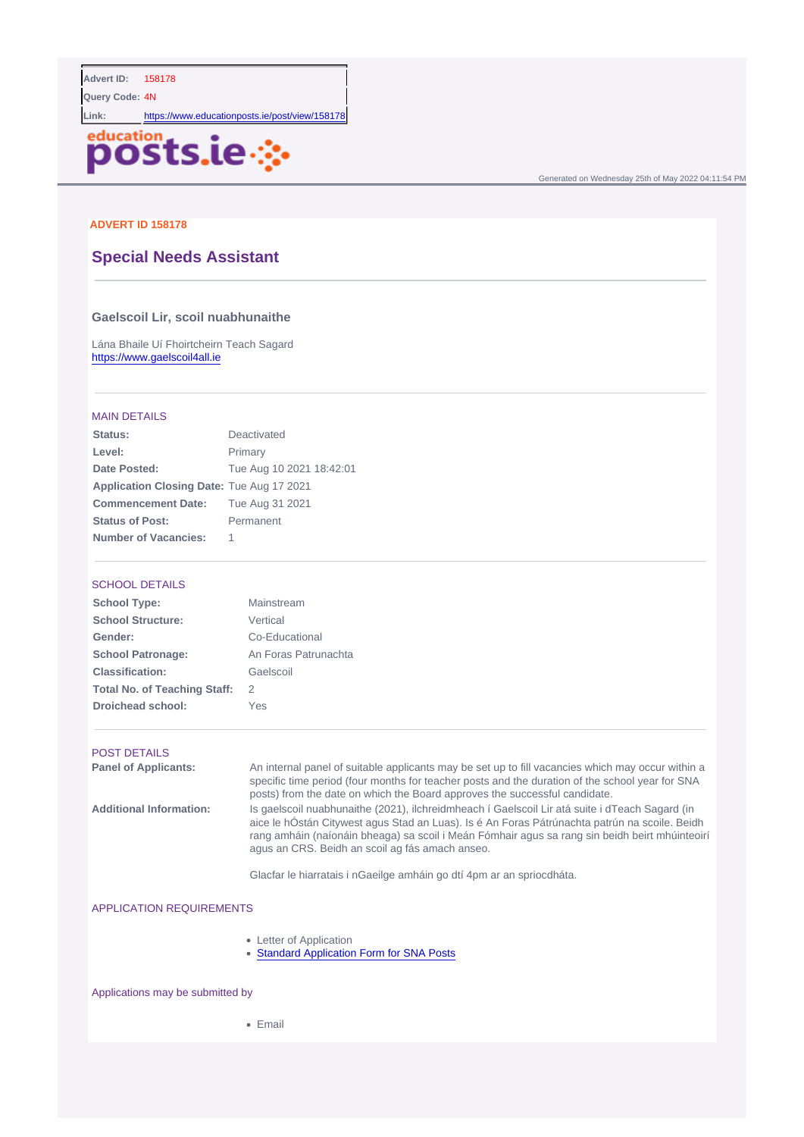Query Code: 4N

Link: <https://www.educationposts.ie/post/view/158178>

Generated on Wednesday 25th of May 2022 04:11:54 PM

### ADVERT ID 158178

# Special Needs Assistant

Gaelscoil Lir, scoil nuabhunaithe

Lána Bhaile Uí Fhoirtcheirn Teach Sagard <https://www.gaelscoil4all.ie>

### MAIN DETAILS

| Status:                   | Deactivated              |
|---------------------------|--------------------------|
| Level:                    | Primary                  |
| Date Posted:              | Tue Aug 10 2021 18:42:01 |
| Application Closing Date: | Tue Aug 17 2021          |
| <b>Commencement Date:</b> | Tue Aug 31 2021          |
| Status of Post:           | Permanent                |
| Number of Vacancies:      |                          |

### SCHOOL DETAILS

| School Type:                 | Mainstream           |
|------------------------------|----------------------|
| School Structure:            | Vertical             |
| Gender:                      | Co-Educational       |
| School Patronage:            | An Foras Patrunachta |
| Classification:              | Gaelscoil            |
| Total No. of Teaching Staff: | 2                    |
| Droichead school:            | Yes                  |

#### POST DETAILS

Panel of Applicants: An internal panel of suitable applicants may be set up to fill vacancies which may occur within a specific time period (four months for teacher posts and the duration of the school year for SNA posts) from the date on which the Board approves the successful candidate. Additional Information: Is gaelscoil nuabhunaithe (2021), ilchreidmheach í Gaelscoil Lir atá suite i dTeach Sagard (in aice le hÓstán Citywest agus Stad an Luas). Is é An Foras Pátrúnachta patrún na scoile. Beidh rang amháin (naíonáin bheaga) sa scoil i Meán Fómhair agus sa rang sin beidh beirt mhúinteoirí agus an CRS. Beidh an scoil ag fás amach anseo.

Glacfar le hiarratais i nGaeilge amháin go dtí 4pm ar an spriocdháta.

### APPLICATION REQUIREMENTS

- Letter of Application
- [Standard Application Form for SNA Posts](https://bit.ly/StandardAppForm-SNA)

#### Applications may be submitted by

• Email